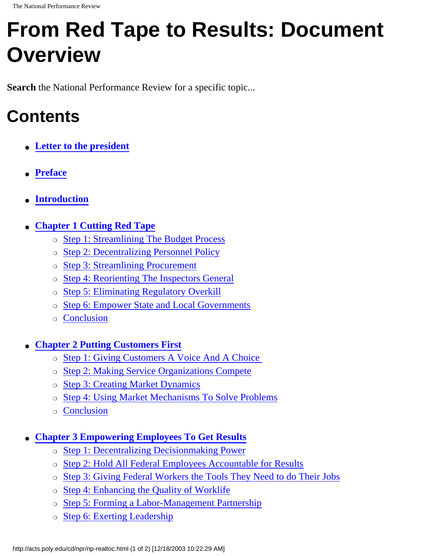## **From Red Tape to Results: Document Overview**

**Search** the National Performance Review for a specific topic...

## **Contents**

- **[Letter to the president](http://acts.poly.edu/cd/npr/npintro.htm)**
- **[Preface](http://acts.poly.edu/cd/npr/npintro.htm)**
- **[Introduction](http://acts.poly.edu/cd/npr/npintro.htm)**
- **[Chapter 1 Cutting Red Tape](http://acts.poly.edu/cd/npr/npr-1.htm)**
	- ❍ [Step 1: Streamlining The Budget Process](http://acts.poly.edu/cd/npr/npr-1-1.htm)
	- ❍ [Step 2: Decentralizing Personnel Policy](http://acts.poly.edu/cd/npr/npr-1-2.htm)
	- ❍ [Step 3: Streamlining Procurement](http://acts.poly.edu/cd/npr/npr-1-3.htm)
	- ❍ [Step 4: Reorienting The Inspectors General](http://acts.poly.edu/cd/npr/npr-1-4.htm)
	- ❍ [Step 5: Eliminating Regulatory Overkill](http://acts.poly.edu/cd/npr/npr-1-5.htm)
	- ❍ [Step 6: Empower State and Local Governments](http://acts.poly.edu/cd/npr/npr-1-6.htm)
	- ❍ [Conclusion](http://acts.poly.edu/cd/npr/npr-1-7.htm)

## ● **[Chapter 2 Putting Customers First](http://acts.poly.edu/cd/npr/npr-2.htm)**

- ❍ [Step 1: Giving Customers A Voice And A Choice](http://acts.poly.edu/cd/npr/npr-2-1.htm)
- ❍ [Step 2: Making Service Organizations Compete](http://acts.poly.edu/cd/npr/npr-2-2.htm)
- ❍ [Step 3: Creating Market Dynamics](http://acts.poly.edu/cd/npr/npr-2-3.htm)
- ❍ [Step 4: Using Market Mechanisms To Solve Problems](http://acts.poly.edu/cd/npr/npr-2-4.htm)
- ❍ [Conclusion](http://acts.poly.edu/cd/npr/npr-2-5.htm)

## **[Chapter 3 Empowering Employees To Get Results](http://acts.poly.edu/cd/npr/npr-3.htm)**

- ❍ [Step 1: Decentralizing Decisionmaking Power](http://acts.poly.edu/cd/npr/npr-3-1.htm)
- ❍ [Step 2: Hold All Federal Employees Accountable for Results](http://acts.poly.edu/cd/npr/npr-3-2.htm)
- ❍ [Step 3: Giving Federal Workers the Tools They Need to do Their Jobs](http://acts.poly.edu/cd/npr/npr-3-3.htm)
- ❍ [Step 4: Enhancing the Quality of Worklife](http://acts.poly.edu/cd/npr/npr-3-4.htm)
- ❍ [Step 5: Forming a Labor-Management Partnership](http://acts.poly.edu/cd/npr/npr-3-5.htm)
- o [Step 6: Exerting Leadership](http://acts.poly.edu/cd/npr/npr-3-6.htm)